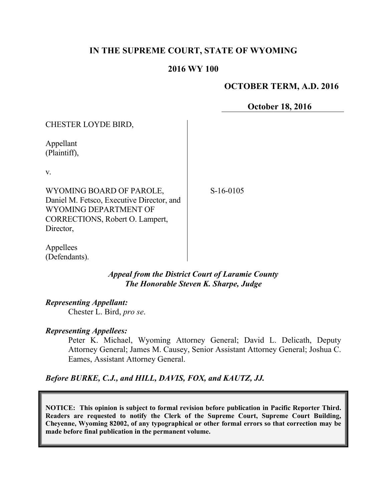# **IN THE SUPREME COURT, STATE OF WYOMING**

### **2016 WY 100**

## **OCTOBER TERM, A.D. 2016**

**October 18, 2016**

| CHESTER LOYDE BIRD,                                                                                                                            |          |
|------------------------------------------------------------------------------------------------------------------------------------------------|----------|
| Appellant<br>(Plaintiff),                                                                                                                      |          |
| V.                                                                                                                                             |          |
| WYOMING BOARD OF PAROLE,<br>Daniel M. Fetsco, Executive Director, and<br>WYOMING DEPARTMENT OF<br>CORRECTIONS, Robert O. Lampert,<br>Director, | $S-16-0$ |

105

Appellees (Defendants).

> *Appeal from the District Court of Laramie County The Honorable Steven K. Sharpe, Judge*

#### *Representing Appellant:*

Chester L. Bird, *pro se*.

#### *Representing Appellees:*

Peter K. Michael, Wyoming Attorney General; David L. Delicath, Deputy Attorney General; James M. Causey, Senior Assistant Attorney General; Joshua C. Eames, Assistant Attorney General.

*Before BURKE, C.J., and HILL, DAVIS, FOX, and KAUTZ, JJ.*

**NOTICE: This opinion is subject to formal revision before publication in Pacific Reporter Third. Readers are requested to notify the Clerk of the Supreme Court, Supreme Court Building, Cheyenne, Wyoming 82002, of any typographical or other formal errors so that correction may be made before final publication in the permanent volume.**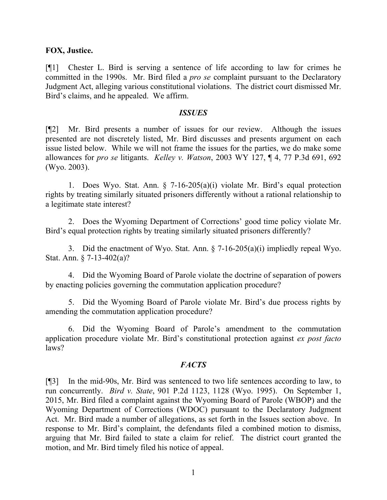#### **FOX, Justice.**

[¶1] Chester L. Bird is serving a sentence of life according to law for crimes he committed in the 1990s. Mr. Bird filed a *pro se* complaint pursuant to the Declaratory Judgment Act, alleging various constitutional violations. The district court dismissed Mr. Bird's claims, and he appealed. We affirm.

#### *ISSUES*

[¶2] Mr. Bird presents a number of issues for our review. Although the issues presented are not discretely listed, Mr. Bird discusses and presents argument on each issue listed below. While we will not frame the issues for the parties, we do make some allowances for *pro se* litigants. *Kelley v. Watson*, 2003 WY 127, ¶ 4, 77 P.3d 691, 692 (Wyo. 2003).

1. Does Wyo. Stat. Ann. § 7-16-205(a)(i) violate Mr. Bird's equal protection rights by treating similarly situated prisoners differently without a rational relationship to a legitimate state interest?

2. Does the Wyoming Department of Corrections' good time policy violate Mr. Bird's equal protection rights by treating similarly situated prisoners differently?

3. Did the enactment of Wyo. Stat. Ann. § 7-16-205(a)(i) impliedly repeal Wyo. Stat. Ann. § 7-13-402(a)?

4. Did the Wyoming Board of Parole violate the doctrine of separation of powers by enacting policies governing the commutation application procedure?

5. Did the Wyoming Board of Parole violate Mr. Bird's due process rights by amending the commutation application procedure?

6. Did the Wyoming Board of Parole's amendment to the commutation application procedure violate Mr. Bird's constitutional protection against *ex post facto* laws?

#### *FACTS*

[¶3] In the mid-90s, Mr. Bird was sentenced to two life sentences according to law, to run concurrently. *Bird v. State*, 901 P.2d 1123, 1128 (Wyo. 1995). On September 1, 2015, Mr. Bird filed a complaint against the Wyoming Board of Parole (WBOP) and the Wyoming Department of Corrections (WDOC) pursuant to the Declaratory Judgment Act. Mr. Bird made a number of allegations, as set forth in the Issues section above. In response to Mr. Bird's complaint, the defendants filed a combined motion to dismiss, arguing that Mr. Bird failed to state a claim for relief. The district court granted the motion, and Mr. Bird timely filed his notice of appeal.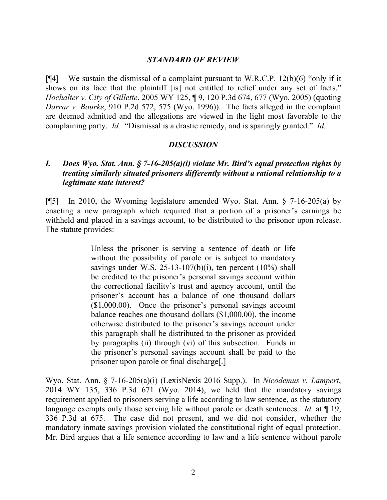### *STANDARD OF REVIEW*

 $[$ [4] We sustain the dismissal of a complaint pursuant to W.R.C.P. 12(b)(6) "only if it shows on its face that the plaintiff [is] not entitled to relief under any set of facts." *Hochalter v. City of Gillette*, 2005 WY 125, ¶ 9, 120 P.3d 674, 677 (Wyo. 2005) (quoting *Darrar v. Bourke*, 910 P.2d 572, 575 (Wyo. 1996)). The facts alleged in the complaint are deemed admitted and the allegations are viewed in the light most favorable to the complaining party. *Id.* "Dismissal is a drastic remedy, and is sparingly granted." *Id.*

#### *DISCUSSION*

## *I. Does Wyo. Stat. Ann. § 7-16-205(a)(i) violate Mr. Bird's equal protection rights by treating similarly situated prisoners differently without a rational relationship to a legitimate state interest?*

[¶5] In 2010, the Wyoming legislature amended Wyo. Stat. Ann. § 7-16-205(a) by enacting a new paragraph which required that a portion of a prisoner's earnings be withheld and placed in a savings account, to be distributed to the prisoner upon release. The statute provides:

> Unless the prisoner is serving a sentence of death or life without the possibility of parole or is subject to mandatory savings under W.S. 25-13-107(b)(i), ten percent  $(10\%)$  shall be credited to the prisoner's personal savings account within the correctional facility's trust and agency account, until the prisoner's account has a balance of one thousand dollars (\$1,000.00). Once the prisoner's personal savings account balance reaches one thousand dollars (\$1,000.00), the income otherwise distributed to the prisoner's savings account under this paragraph shall be distributed to the prisoner as provided by paragraphs (ii) through (vi) of this subsection. Funds in the prisoner's personal savings account shall be paid to the prisoner upon parole or final discharge[.]

Wyo. Stat. Ann. § 7-16-205(a)(i) (LexisNexis 2016 Supp.). In *Nicodemus v. Lampert*, 2014 WY 135, 336 P.3d 671 (Wyo. 2014), we held that the mandatory savings requirement applied to prisoners serving a life according to law sentence, as the statutory language exempts only those serving life without parole or death sentences. *Id.* at ¶ 19, 336 P.3d at 675. The case did not present, and we did not consider, whether the mandatory inmate savings provision violated the constitutional right of equal protection. Mr. Bird argues that a life sentence according to law and a life sentence without parole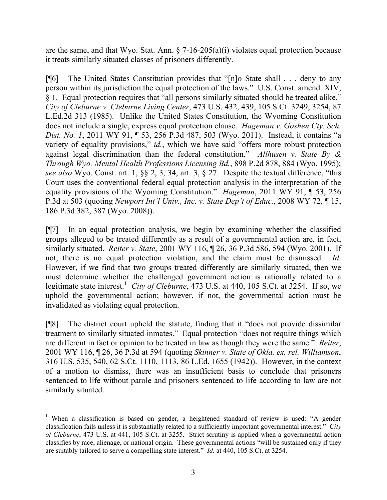are the same, and that Wyo. Stat. Ann.  $\S$  7-16-205(a)(i) violates equal protection because it treats similarly situated classes of prisoners differently.

[¶6] The United States Constitution provides that "[n]o State shall . . . deny to any person within its jurisdiction the equal protection of the laws." U.S. Const. amend. XIV, § 1. Equal protection requires that "all persons similarly situated should be treated alike." *City of Cleburne v. Cleburne Living Center*, 473 U.S. 432, 439, 105 S.Ct. 3249, 3254, 87 L.Ed.2d 313 (1985). Unlike the United States Constitution, the Wyoming Constitution does not include a single, express equal protection clause. *Hageman v. Goshen Cty. Sch. Dist. No. 1*, 2011 WY 91, ¶ 53, 256 P.3d 487, 503 (Wyo. 2011). Instead, it contains "a variety of equality provisions," *id.*, which we have said "offers more robust protection against legal discrimination than the federal constitution." *Allhusen v. State By & Through Wyo. Mental Health Professions Licensing Bd.*, 898 P.2d 878, 884 (Wyo. 1995); *see also* Wyo. Const. art. 1, §§ 2, 3, 34, art. 3, § 27. Despite the textual difference, "this Court uses the conventional federal equal protection analysis in the interpretation of the equality provisions of the Wyoming Constitution." *Hageman*, 2011 WY 91, ¶ 53, 256 P.3d at 503 (quoting *Newport Int'l Univ., Inc. v. State Dep't of Educ.*, 2008 WY 72, ¶ 15, 186 P.3d 382, 387 (Wyo. 2008)).

[¶7] In an equal protection analysis, we begin by examining whether the classified groups alleged to be treated differently as a result of a governmental action are, in fact, similarly situated. *Reiter v. State*, 2001 WY 116, ¶ 26, 36 P.3d 586, 594 (Wyo. 2001). If not, there is no equal protection violation, and the claim must be dismissed. *Id.* However, if we find that two groups treated differently are similarly situated, then we must determine whether the challenged government action is rationally related to a legitimate state interest.<sup>1</sup> City of Cleburne, 473 U.S. at 440, 105 S.Ct. at 3254. If so, we uphold the governmental action; however, if not, the governmental action must be invalidated as violating equal protection.

[¶8] The district court upheld the statute, finding that it "does not provide dissimilar treatment to similarly situated inmates." Equal protection "does not require things which are different in fact or opinion to be treated in law as though they were the same." *Reiter*, 2001 WY 116, ¶ 26, 36 P.3d at 594 (quoting *Skinner v. State of Okla. ex. rel. Williamson*, 316 U.S. 535, 540, 62 S.Ct. 1110, 1113, 86 L.Ed. 1655 (1942)). However, in the context of a motion to dismiss, there was an insufficient basis to conclude that prisoners sentenced to life without parole and prisoners sentenced to life according to law are not similarly situated.

 <sup>1</sup> When a classification is based on gender, a heightened standard of review is used: "A gender classification fails unless it is substantially related to a sufficiently important governmental interest." *City of Cleburne*, 473 U.S. at 441, 105 S.Ct. at 3255. Strict scrutiny is applied when a governmental action classifies by race, alienage, or national origin. These governmental actions "will be sustained only if they are suitably tailored to serve a compelling state interest." *Id.* at 440, 105 S.Ct. at 3254.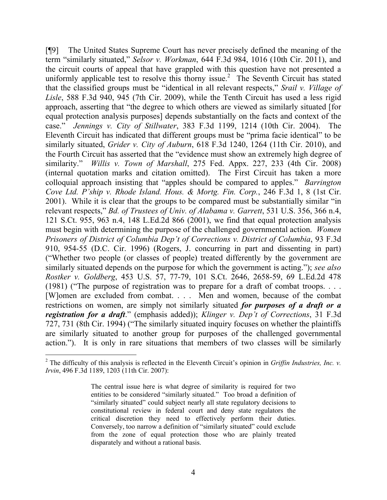[¶9] The United States Supreme Court has never precisely defined the meaning of the term "similarly situated," *Selsor v. Workman*, 644 F.3d 984, 1016 (10th Cir. 2011), and the circuit courts of appeal that have grappled with this question have not presented a uniformly applicable test to resolve this thorny issue.<sup>2</sup> The Seventh Circuit has stated that the classified groups must be "identical in all relevant respects," *Srail v. Village of Lisle*, 588 F.3d 940, 945 (7th Cir. 2009), while the Tenth Circuit has used a less rigid approach, asserting that "the degree to which others are viewed as similarly situated [for equal protection analysis purposes] depends substantially on the facts and context of the case." *Jennings v. City of Stillwater*, 383 F.3d 1199, 1214 (10th Cir. 2004). The Eleventh Circuit has indicated that different groups must be "prima facie identical" to be similarly situated, *Grider v. City of Auburn*, 618 F.3d 1240, 1264 (11th Cir. 2010), and the Fourth Circuit has asserted that the "evidence must show an extremely high degree of similarity." *Willis v. Town of Marshall*, 275 Fed. Appx. 227, 233 (4th Cir. 2008) (internal quotation marks and citation omitted). The First Circuit has taken a more colloquial approach insisting that "apples should be compared to apples." *Barrington Cove Ltd. P'ship v. Rhode Island. Hous. & Mortg. Fin. Corp.*, 246 F.3d 1, 8 (1st Cir. 2001). While it is clear that the groups to be compared must be substantially similar "in relevant respects," *Bd. of Trustees of Univ. of Alabama v. Garrett*, 531 U.S. 356, 366 n.4, 121 S.Ct. 955, 963 n.4, 148 L.Ed.2d 866 (2001), we find that equal protection analysis must begin with determining the purpose of the challenged governmental action. *Women Prisoners of District of Columbia Dep't of Corrections v. District of Columbia*, 93 F.3d 910, 954-55 (D.C. Cir. 1996) (Rogers, J. concurring in part and dissenting in part) ("Whether two people (or classes of people) treated differently by the government are similarly situated depends on the purpose for which the government is acting."); *see also Rostker v. Goldberg*, 453 U.S. 57, 77-79, 101 S.Ct. 2646, 2658-59, 69 L.Ed.2d 478 (1981) ("The purpose of registration was to prepare for a draft of combat troops. . . . [W]omen are excluded from combat. . . . Men and women, because of the combat restrictions on women, are simply not similarly situated *for purposes of a draft or a registration for a draft*." (emphasis added)); *Klinger v. Dep't of Corrections*, 31 F.3d 727, 731 (8th Cir. 1994) ("The similarly situated inquiry focuses on whether the plaintiffs are similarly situated to another group for purposes of the challenged governmental action."). It is only in rare situations that members of two classes will be similarly

 $2^2$  The difficulty of this analysis is reflected in the Eleventh Circuit's opinion in *Griffin Industries, Inc. v. Irvin*, 496 F.3d 1189, 1203 (11th Cir. 2007):

The central issue here is what degree of similarity is required for two entities to be considered "similarly situated." Too broad a definition of "similarly situated" could subject nearly all state regulatory decisions to constitutional review in federal court and deny state regulators the critical discretion they need to effectively perform their duties. Conversely, too narrow a definition of "similarly situated" could exclude from the zone of equal protection those who are plainly treated disparately and without a rational basis.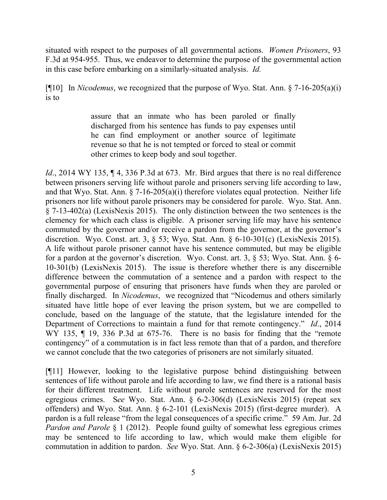situated with respect to the purposes of all governmental actions. *Women Prisoners*, 93 F.3d at 954-955. Thus, we endeavor to determine the purpose of the governmental action in this case before embarking on a similarly-situated analysis. *Id.*

[¶10] In *Nicodemus*, we recognized that the purpose of Wyo. Stat. Ann. § 7-16-205(a)(i) is to

> assure that an inmate who has been paroled or finally discharged from his sentence has funds to pay expenses until he can find employment or another source of legitimate revenue so that he is not tempted or forced to steal or commit other crimes to keep body and soul together.

*Id.*, 2014 WY 135, ¶ 4, 336 P.3d at 673. Mr. Bird argues that there is no real difference between prisoners serving life without parole and prisoners serving life according to law, and that Wyo. Stat. Ann. § 7-16-205(a)(i) therefore violates equal protection. Neither life prisoners nor life without parole prisoners may be considered for parole. Wyo. Stat. Ann. § 7-13-402(a) (LexisNexis 2015). The only distinction between the two sentences is the clemency for which each class is eligible. A prisoner serving life may have his sentence commuted by the governor and/or receive a pardon from the governor, at the governor's discretion. Wyo. Const. art. 3, § 53; Wyo. Stat. Ann. § 6-10-301(c) (LexisNexis 2015). A life without parole prisoner cannot have his sentence commuted, but may be eligible for a pardon at the governor's discretion. Wyo. Const. art. 3, § 53; Wyo. Stat. Ann. § 6- 10-301(b) (LexisNexis 2015). The issue is therefore whether there is any discernible difference between the commutation of a sentence and a pardon with respect to the governmental purpose of ensuring that prisoners have funds when they are paroled or finally discharged. In *Nicodemus*, we recognized that "Nicodemus and others similarly situated have little hope of ever leaving the prison system, but we are compelled to conclude, based on the language of the statute, that the legislature intended for the Department of Corrections to maintain a fund for that remote contingency." *Id*., 2014 WY 135, ¶ 19, 336 P.3d at 675-76. There is no basis for finding that the "remote" contingency" of a commutation is in fact less remote than that of a pardon, and therefore we cannot conclude that the two categories of prisoners are not similarly situated.

[¶11] However, looking to the legislative purpose behind distinguishing between sentences of life without parole and life according to law, we find there is a rational basis for their different treatment. Life without parole sentences are reserved for the most egregious crimes. S*ee* Wyo. Stat. Ann. § 6-2-306(d) (LexisNexis 2015) (repeat sex offenders) and Wyo. Stat. Ann. § 6-2-101 (LexisNexis 2015) (first-degree murder). A pardon is a full release "from the legal consequences of a specific crime." 59 Am. Jur. 2d *Pardon and Parole* § 1 (2012). People found guilty of somewhat less egregious crimes may be sentenced to life according to law, which would make them eligible for commutation in addition to pardon. *See* Wyo. Stat. Ann. § 6-2-306(a) (LexisNexis 2015)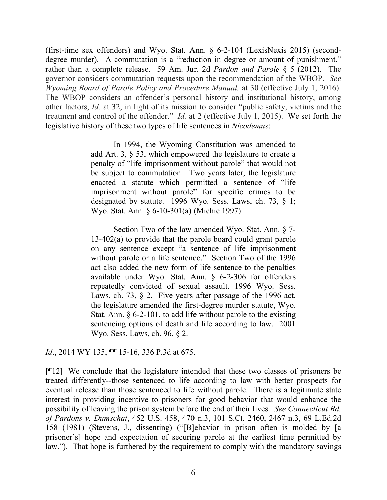(first-time sex offenders) and Wyo. Stat. Ann. § 6-2-104 (LexisNexis 2015) (seconddegree murder). A commutation is a "reduction in degree or amount of punishment," rather than a complete release. 59 Am. Jur. 2d *Pardon and Parole* § 5 (2012). The governor considers commutation requests upon the recommendation of the WBOP. *See Wyoming Board of Parole Policy and Procedure Manual,* at 30 (effective July 1, 2016). The WBOP considers an offender's personal history and institutional history, among other factors, *Id.* at 32, in light of its mission to consider "public safety, victims and the treatment and control of the offender." *Id.* at 2 (effective July 1, 2015). We set forth the legislative history of these two types of life sentences in *Nicodemus*:

> In 1994, the Wyoming Constitution was amended to add Art. 3, § 53, which empowered the legislature to create a penalty of "life imprisonment without parole" that would not be subject to commutation. Two years later, the legislature enacted a statute which permitted a sentence of "life imprisonment without parole" for specific crimes to be designated by statute. 1996 Wyo. Sess. Laws, ch. 73,  $\S$  1; Wyo. Stat. Ann. § 6-10-301(a) (Michie 1997).

> Section Two of the law amended Wyo. Stat. Ann. § 7- 13-402(a) to provide that the parole board could grant parole on any sentence except "a sentence of life imprisonment without parole or a life sentence." Section Two of the 1996 act also added the new form of life sentence to the penalties available under Wyo. Stat. Ann. § 6-2-306 for offenders repeatedly convicted of sexual assault. 1996 Wyo. Sess. Laws, ch. 73,  $\S$  2. Five years after passage of the 1996 act, the legislature amended the first-degree murder statute, Wyo. Stat. Ann. § 6-2-101, to add life without parole to the existing sentencing options of death and life according to law. 2001 Wyo. Sess. Laws, ch. 96, § 2.

*Id.*, 2014 WY 135, **[1]** 15-16, 336 P.3d at 675.

[¶12] We conclude that the legislature intended that these two classes of prisoners be treated differently--those sentenced to life according to law with better prospects for eventual release than those sentenced to life without parole. There is a legitimate state interest in providing incentive to prisoners for good behavior that would enhance the possibility of leaving the prison system before the end of their lives. *See Connecticut Bd. of Pardons v. Dumschat*, 452 U.S. 458, 470 n.3, 101 S.Ct. 2460, 2467 n.3, 69 L.Ed.2d 158 (1981) (Stevens, J., dissenting) ("[B]ehavior in prison often is molded by [a prisoner's] hope and expectation of securing parole at the earliest time permitted by law."). That hope is furthered by the requirement to comply with the mandatory savings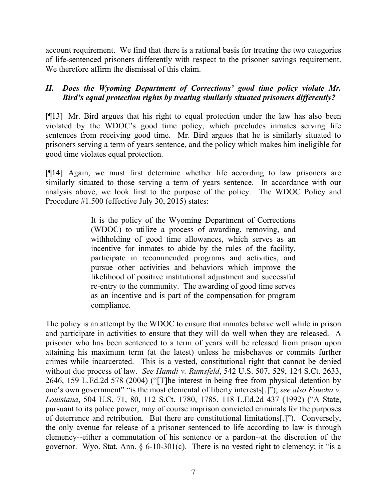account requirement. We find that there is a rational basis for treating the two categories of life-sentenced prisoners differently with respect to the prisoner savings requirement. We therefore affirm the dismissal of this claim.

## *II. Does the Wyoming Department of Corrections' good time policy violate Mr. Bird's equal protection rights by treating similarly situated prisoners differently?*

[¶13] Mr. Bird argues that his right to equal protection under the law has also been violated by the WDOC's good time policy, which precludes inmates serving life sentences from receiving good time. Mr. Bird argues that he is similarly situated to prisoners serving a term of years sentence, and the policy which makes him ineligible for good time violates equal protection.

[¶14] Again, we must first determine whether life according to law prisoners are similarly situated to those serving a term of years sentence. In accordance with our analysis above, we look first to the purpose of the policy. The WDOC Policy and Procedure #1.500 (effective July 30, 2015) states:

> It is the policy of the Wyoming Department of Corrections (WDOC) to utilize a process of awarding, removing, and withholding of good time allowances, which serves as an incentive for inmates to abide by the rules of the facility, participate in recommended programs and activities, and pursue other activities and behaviors which improve the likelihood of positive institutional adjustment and successful re-entry to the community. The awarding of good time serves as an incentive and is part of the compensation for program compliance.

The policy is an attempt by the WDOC to ensure that inmates behave well while in prison and participate in activities to ensure that they will do well when they are released. A prisoner who has been sentenced to a term of years will be released from prison upon attaining his maximum term (at the latest) unless he misbehaves or commits further crimes while incarcerated. This is a vested, constitutional right that cannot be denied without due process of law. *See Hamdi v. Rumsfeld*, 542 U.S. 507, 529, 124 S.Ct. 2633, 2646, 159 L.Ed.2d 578 (2004) ("[T]he interest in being free from physical detention by one's own government" "is the most elemental of liberty interests[.]"); *see also Foucha v. Louisiana*, 504 U.S. 71, 80, 112 S.Ct. 1780, 1785, 118 L.Ed.2d 437 (1992) ("A State, pursuant to its police power, may of course imprison convicted criminals for the purposes of deterrence and retribution. But there are constitutional limitations[.]"). Conversely, the only avenue for release of a prisoner sentenced to life according to law is through clemency--either a commutation of his sentence or a pardon--at the discretion of the governor. Wyo. Stat. Ann.  $\S 6-10-301(c)$ . There is no vested right to clemency; it "is a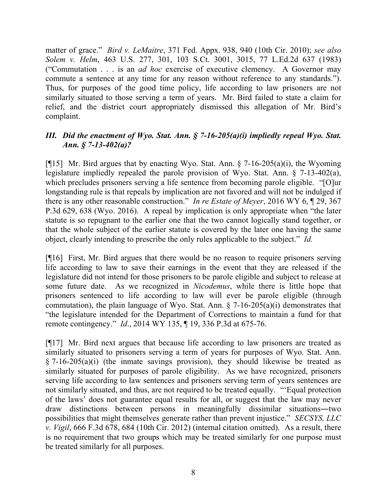matter of grace." *Bird v. LeMaitre*, 371 Fed. Appx. 938, 940 (10th Cir. 2010); *see also Solem v. Helm*, 463 U.S. 277, 301, 103 S.Ct. 3001, 3015, 77 L.Ed.2d 637 (1983) ("Commutation . . . is an *ad hoc* exercise of executive clemency. A Governor may commute a sentence at any time for any reason without reference to any standards."). Thus, for purposes of the good time policy, life according to law prisoners are not similarly situated to those serving a term of years. Mr. Bird failed to state a claim for relief, and the district court appropriately dismissed this allegation of Mr. Bird's complaint.

## *III. Did the enactment of Wyo. Stat. Ann. § 7-16-205(a)(i) impliedly repeal Wyo. Stat. Ann. § 7-13-402(a)?*

[ $[15]$  Mr. Bird argues that by enacting Wyo. Stat. Ann. § 7-16-205(a)(i), the Wyoming legislature impliedly repealed the parole provision of Wyo. Stat. Ann. § 7-13-402(a), which precludes prisoners serving a life sentence from becoming parole eligible. "[O]ur longstanding rule is that repeals by implication are not favored and will not be indulged if there is any other reasonable construction." *In re Estate of Meyer*, 2016 WY 6, ¶ 29, 367 P.3d 629, 638 (Wyo. 2016). A repeal by implication is only appropriate when "the later statute is so repugnant to the earlier one that the two cannot logically stand together, or that the whole subject of the earlier statute is covered by the later one having the same object, clearly intending to prescribe the only rules applicable to the subject." *Id.*

[¶16] First, Mr. Bird argues that there would be no reason to require prisoners serving life according to law to save their earnings in the event that they are released if the legislature did not intend for those prisoners to be parole eligible and subject to release at some future date. As we recognized in *Nicodemus*, while there is little hope that prisoners sentenced to life according to law will ever be parole eligible (through commutation), the plain language of Wyo. Stat. Ann. § 7-16-205(a)(i) demonstrates that "the legislature intended for the Department of Corrections to maintain a fund for that remote contingency." *Id*., 2014 WY 135, ¶ 19, 336 P.3d at 675-76.

[¶17] Mr. Bird next argues that because life according to law prisoners are treated as similarly situated to prisoners serving a term of years for purposes of Wyo. Stat. Ann.  $§$  7-16-205(a)(i) (the inmate savings provision), they should likewise be treated as similarly situated for purposes of parole eligibility. As we have recognized, prisoners serving life according to law sentences and prisoners serving term of years sentences are not similarly situated, and thus, are not required to be treated equally. "'Equal protection of the laws' does not guarantee equal results for all, or suggest that the law may never draw distinctions between persons in meaningfully dissimilar situations―two possibilities that might themselves generate rather than prevent injustice." *SECSYS, LLC v. Vigil*, 666 F.3d 678, 684 (10th Cir. 2012) (internal citation omitted). As a result, there is no requirement that two groups which may be treated similarly for one purpose must be treated similarly for all purposes.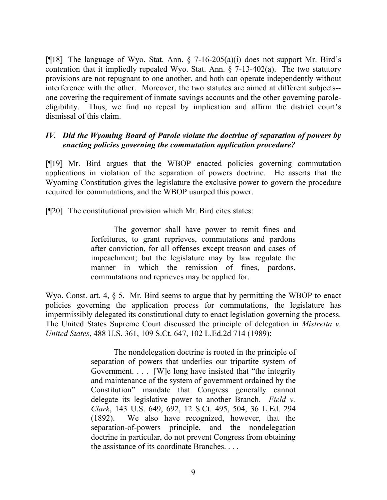[ $[18]$ ] The language of Wyo. Stat. Ann. § 7-16-205(a)(i) does not support Mr. Bird's contention that it impliedly repealed Wyo. Stat. Ann.  $\S$  7-13-402(a). The two statutory provisions are not repugnant to one another, and both can operate independently without interference with the other. Moreover, the two statutes are aimed at different subjects- one covering the requirement of inmate savings accounts and the other governing paroleeligibility. Thus, we find no repeal by implication and affirm the district court's dismissal of this claim.

### *IV. Did the Wyoming Board of Parole violate the doctrine of separation of powers by enacting policies governing the commutation application procedure?*

[¶19] Mr. Bird argues that the WBOP enacted policies governing commutation applications in violation of the separation of powers doctrine. He asserts that the Wyoming Constitution gives the legislature the exclusive power to govern the procedure required for commutations, and the WBOP usurped this power.

[¶20] The constitutional provision which Mr. Bird cites states:

The governor shall have power to remit fines and forfeitures, to grant reprieves, commutations and pardons after conviction, for all offenses except treason and cases of impeachment; but the legislature may by law regulate the manner in which the remission of fines, pardons, commutations and reprieves may be applied for.

Wyo. Const. art. 4,  $\S$  5. Mr. Bird seems to argue that by permitting the WBOP to enact policies governing the application process for commutations, the legislature has impermissibly delegated its constitutional duty to enact legislation governing the process. The United States Supreme Court discussed the principle of delegation in *Mistretta v. United States*, 488 U.S. 361, 109 S.Ct. 647, 102 L.Ed.2d 714 (1989):

> The nondelegation doctrine is rooted in the principle of separation of powers that underlies our tripartite system of Government. . . . [W]e long have insisted that "the integrity and maintenance of the system of government ordained by the Constitution" mandate that Congress generally cannot delegate its legislative power to another Branch. *Field v. Clark*, 143 U.S. 649, 692, 12 S.Ct. 495, 504, 36 L.Ed. 294 (1892). We also have recognized, however, that the separation-of-powers principle, and the nondelegation doctrine in particular, do not prevent Congress from obtaining the assistance of its coordinate Branches. . . .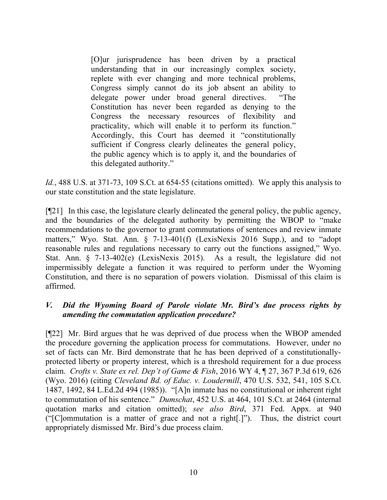[O]ur jurisprudence has been driven by a practical understanding that in our increasingly complex society, replete with ever changing and more technical problems, Congress simply cannot do its job absent an ability to delegate power under broad general directives. "The Constitution has never been regarded as denying to the Congress the necessary resources of flexibility and practicality, which will enable it to perform its function." Accordingly, this Court has deemed it "constitutionally sufficient if Congress clearly delineates the general policy, the public agency which is to apply it, and the boundaries of this delegated authority."

*Id.*, 488 U.S. at 371-73, 109 S.Ct. at 654-55 (citations omitted). We apply this analysis to our state constitution and the state legislature.

[¶21] In this case, the legislature clearly delineated the general policy, the public agency, and the boundaries of the delegated authority by permitting the WBOP to "make recommendations to the governor to grant commutations of sentences and review inmate matters," Wyo. Stat. Ann. § 7-13-401(f) (LexisNexis 2016 Supp.), and to "adopt reasonable rules and regulations necessary to carry out the functions assigned," Wyo. Stat. Ann. § 7-13-402(e) (LexisNexis 2015). As a result, the legislature did not impermissibly delegate a function it was required to perform under the Wyoming Constitution, and there is no separation of powers violation. Dismissal of this claim is affirmed.

# *V. Did the Wyoming Board of Parole violate Mr. Bird's due process rights by amending the commutation application procedure?*

[¶22] Mr. Bird argues that he was deprived of due process when the WBOP amended the procedure governing the application process for commutations. However, under no set of facts can Mr. Bird demonstrate that he has been deprived of a constitutionallyprotected liberty or property interest, which is a threshold requirement for a due process claim. *Crofts v. State ex rel. Dep't of Game & Fish*, 2016 WY 4, ¶ 27, 367 P.3d 619, 626 (Wyo. 2016) (citing *Cleveland Bd. of Educ. v. Loudermill*, 470 U.S. 532, 541, 105 S.Ct. 1487, 1492, 84 L.Ed.2d 494 (1985)). "[A]n inmate has no constitutional or inherent right to commutation of his sentence." *Dumschat*, 452 U.S. at 464, 101 S.Ct. at 2464 (internal quotation marks and citation omitted); *see also Bird*, 371 Fed. Appx. at 940 ("[C]ommutation is a matter of grace and not a right[.]"). Thus, the district court appropriately dismissed Mr. Bird's due process claim.